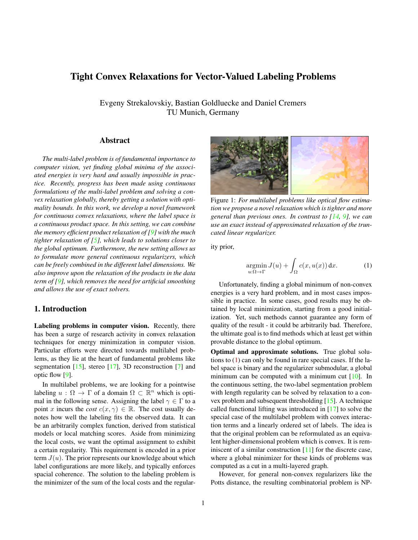# <span id="page-0-2"></span>Tight Convex Relaxations for Vector-Valued Labeling Problems

Evgeny Strekalovskiy, Bastian Goldluecke and Daniel Cremers TU Munich, Germany

#### Abstract

*The multi-label problem is of fundamental importance to computer vision, yet finding global minima of the associated energies is very hard and usually impossible in practice. Recently, progress has been made using continuous formulations of the multi-label problem and solving a convex relaxation globally, thereby getting a solution with optimality bounds. In this work, we develop a novel framework for continuous convex relaxations, where the label space is a continuous product space. In this setting, we can combine the memory efficient product relaxation of [\[9\]](#page-7-0) with the much tighter relaxation of [\[5\]](#page-7-1), which leads to solutions closer to the global optimum. Furthermore, the new setting allows us to formulate more general continuous regularizers, which can be freely combined in the different label dimensions. We also improve upon the relaxation of the products in the data term of [\[9\]](#page-7-0), which removes the need for artificial smoothing and allows the use of exact solvers.*

## 1. Introduction

Labeling problems in computer vision. Recently, there has been a surge of research activity in convex relaxation techniques for energy minimization in computer vision. Particular efforts were directed towards multilabel problems, as they lie at the heart of fundamental problems like segmentation  $[15]$ , stereo  $[17]$ , 3D reconstruction  $[7]$  and optic flow [\[9\]](#page-7-0).

In multilabel problems, we are looking for a pointwise labeling  $u : \Omega \to \Gamma$  of a domain  $\Omega \subset \mathbb{R}^n$  which is optimal in the following sense. Assigning the label  $\gamma \in \Gamma$  to a point x incurs the *cost*  $c(x, \gamma) \in \mathbb{R}$ . The cost usually denotes how well the labeling fits the observed data. It can be an arbitrarily complex function, derived from statistical models or local matching scores. Aside from minimizing the local costs, we want the optimal assignment to exhibit a certain regularity. This requirement is encoded in a prior term  $J(u)$ . The prior represents our knowledge about which label configurations are more likely, and typically enforces spacial coherence. The solution to the labeling problem is the minimizer of the sum of the local costs and the regular-

<span id="page-0-1"></span>

Figure 1: *For multilabel problems like optical flow estimation we propose a novel relaxation which is tighter and more general than previous ones. In contrast to [\[14,](#page-7-5) [9\]](#page-7-0), we can use an exact instead of approximated relaxation of the truncated linear regularizer.*

ity prior,

<span id="page-0-0"></span>
$$
\underset{u:\Omega\to\Gamma}{\text{argmin}}\,J(u) + \int_{\Omega}c(x,u(x))\,\mathrm{d}x.\tag{1}
$$

Unfortunately, finding a global minimum of non-convex energies is a very hard problem, and in most cases impossible in practice. In some cases, good results may be obtained by local minimization, starting from a good initialization. Yet, such methods cannot guarantee any form of quality of the result - it could be arbitrarily bad. Therefore, the ultimate goal is to find methods which at least get within provable distance to the global optimum.

Optimal and approximate solutions. True global solutions to [\(1\)](#page-0-0) can only be found in rare special cases. If the label space is binary and the regularizer submodular, a global minimum can be computed with a minimum cut [\[10\]](#page-7-6). In the continuous setting, the two-label segmentation problem with length regularity can be solved by relaxation to a convex problem and subsequent thresholding [\[15\]](#page-7-2). A technique called functional lifting was introduced in [\[17\]](#page-7-3) to solve the special case of the multilabel problem with convex interaction terms and a linearly ordered set of labels. The idea is that the original problem can be reformulated as an equivalent higher-dimensional problem which is convex. It is reminiscent of a similar construction  $[11]$  for the discrete case, where a global minimizer for these kinds of problems was computed as a cut in a multi-layered graph.

However, for general non-convex regularizers like the Potts distance, the resulting combinatorial problem is NP-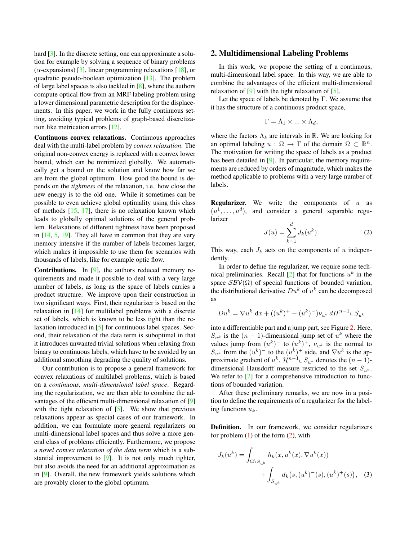<span id="page-1-3"></span>hard [\[3\]](#page-7-8). In the discrete setting, one can approximate a solution for example by solving a sequence of binary problems ( $\alpha$ -expansions) [\[3\]](#page-7-8), linear programming relaxations [\[18\]](#page-7-9), or quadratic pseudo-boolean optimization [\[13\]](#page-7-10). The problem of large label spaces is also tackled in [\[8\]](#page-7-11), where the authors compute optical flow from an MRF labeling problem using a lower dimensional parametric description for the displacements. In this paper, we work in the fully continuous setting, avoiding typical problems of graph-based discretization like metrication errors [\[12\]](#page-7-12).

Continuous convex relaxations. Continuous approaches deal with the multi-label problem by *convex relaxation*. The original non-convex energy is replaced with a convex lower bound, which can be minimized globally. We automatically get a bound on the solution and know how far we are from the global optimum. How good the bound is depends on the *tightness* of the relaxation, i.e. how close the new energy is to the old one. While it sometimes can be possible to even achieve global optimality using this class of methods  $[15, 17]$  $[15, 17]$  $[15, 17]$ , there is no relaxation known which leads to globally optimal solutions of the general problem. Relaxations of different tightness have been proposed in [\[14,](#page-7-5) [5,](#page-7-1) [19\]](#page-7-13). They all have in common that they are very memory intensive if the number of labels becomes larger, which makes it impossible to use them for scenarios with thousands of labels, like for example optic flow.

Contributions. In [\[9\]](#page-7-0), the authors reduced memory requirements and made it possible to deal with a very large number of labels, as long as the space of labels carries a product structure. We improve upon their construction in two significant ways. First, their regularizer is based on the relaxation in [\[14\]](#page-7-5) for multilabel problems with a discrete set of labels, which is known to be less tight than the relaxation introduced in [\[5\]](#page-7-1) for continuous label spaces. Second, their relaxation of the data term is suboptimal in that it introduces unwanted trivial solutions when relaxing from binary to continuous labels, which have to be avoided by an additional smoothing degrading the quality of solutions.

Our contribution is to propose a general framework for convex relaxations of multilabel problems, which is based on a *continuous, multi-dimensional label space*. Regarding the regularization, we are then able to combine the advantages of the efficient multi-dimensional relaxation of [\[9\]](#page-7-0) with the tight relaxation of  $[5]$ . We show that previous relaxations appear as special cases of our framework. In addition, we can formulate more general regularizers on multi-dimensional label spaces and thus solve a more general class of problems efficiently. Furthermore, we propose a *novel convex relaxation of the data term* which is a substantial improvement to [\[9\]](#page-7-0). It is not only much tighter, but also avoids the need for an additional approximation as in [\[9\]](#page-7-0). Overall, the new framework yields solutions which are provably closer to the global optimum.

#### <span id="page-1-2"></span>2. Multidimensional Labeling Problems

In this work, we propose the setting of a continuous, multi-dimensional label space. In this way, we are able to combine the advantages of the efficient multi-dimensional relaxation of [\[9\]](#page-7-0) with the tight relaxation of [\[5\]](#page-7-1).

Let the space of labels be denoted by  $\Gamma$ . We assume that it has the structure of a continuous product space,

$$
\Gamma = \Lambda_1 \times \ldots \times \Lambda_d,
$$

where the factors  $\Lambda_k$  are intervals in R. We are looking for an optimal labeling  $u : \Omega \to \Gamma$  of the domain  $\Omega \subset \mathbb{R}^n$ . The motivation for writing the space of labels as a product has been detailed in [\[9\]](#page-7-0). In particular, the memory requirements are reduced by orders of magnitude, which makes the method applicable to problems with a very large number of labels.

**Regularizer.** We write the components of  $u$  as  $(u^1, \ldots, u^d)$ , and consider a general separable regularizer

<span id="page-1-0"></span>
$$
J(u) = \sum_{k=1}^{d} J_k(u^k).
$$
 (2)

This way, each  $J_k$  acts on the components of u independently.

In order to define the regularizer, we require some tech-nical preliminaries. Recall [\[2\]](#page-7-14) that for functions  $u^k$  in the space  $\mathcal{SBV}(\Omega)$  of special functions of bounded variation, the distributional derivative  $Du^k$  of  $u^k$  can be decomposed as

$$
Du^k = \nabla u^k \, dx + ((u^k)^+ - (u^k)^-) \nu_{u^k} \, dH^{n-1} \mathop{\llcorner} S_{u^k}
$$

into a differentiable part and a jump part, see Figure [2.](#page-2-0) Here,  $S_{u^k}$  is the  $(n-1)$ -dimensional jump set of  $u^k$  where the values jump from  $(u^k)^-$  to  $(u^k)^+$ ,  $\nu_{u^k}$  is the normal to  $S_{u^k}$  from the  $(u^k)^-$  to the  $(u^k)^+$  side, and  $\nabla u^k$  is the approximate gradient of  $u^k$ .  $\mathcal{H}^{n-1} \subset S_{u^k}$  denotes the  $(n-1)$ dimensional Hausdorff measure restricted to the set  $S_{u^k}$ . We refer to  $\lceil 2 \rceil$  for a comprehensive introduction to functions of bounded variation.

After these preliminary remarks, we are now in a position to define the requirements of a regularizer for the labeling functions  $u_k$ .

Definition. In our framework, we consider regularizers for problem  $(1)$  of the form  $(2)$ , with

<span id="page-1-1"></span>
$$
J_k(u^k) = \int_{\Omega \setminus S_{u^k}} h_k(x, u^k(x), \nabla u^k(x)) + \int_{S_{u^k}} d_k(s, (u^k)^-(s), (u^k)^+(s)), \quad (3)
$$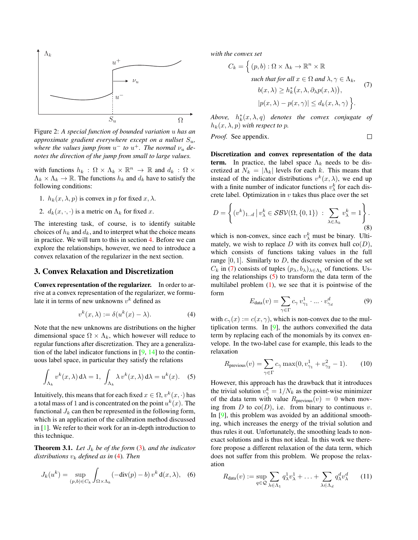<span id="page-2-7"></span><span id="page-2-0"></span>

Figure 2: *A special function of bounded variation* u *has an approximate gradient everywhere except on a nullset*  $S_u$ , where the values jump from  $u^-$  to  $u^+$ . The normal  $\nu_u$  de*notes the direction of the jump from small to large values.*

with functions  $h_k$ :  $\Omega \times \Lambda_k \times \mathbb{R}^n \to \mathbb{R}$  and  $d_k$ :  $\Omega \times$  $\Lambda_k \times \Lambda_k \to \mathbb{R}$ . The functions  $h_k$  and  $d_k$  have to satisfy the following conditions:

- 1.  $h_k(x, \lambda, p)$  is convex in p for fixed  $x, \lambda$ .
- 2.  $d_k(x, \cdot, \cdot)$  is a metric on  $\Lambda_k$  for fixed x.

The interesting task, of course, is to identify suitable choices of  $h_k$  and  $d_k$ , and to interpret what the choice means in practice. We will turn to this in section [4.](#page-3-0) Before we can explore the relationships, however, we need to introduce a convex relaxation of the regularizer in the next section.

### 3. Convex Relaxation and Discretization

Convex representation of the regularizer. In order to arrive at a convex representation of the regularizer, we formulate it in terms of new unknowns  $v^k$  defined as

<span id="page-2-1"></span>
$$
v^k(x,\lambda) := \delta(u^k(x) - \lambda). \tag{4}
$$

Note that the new unknowns are distributions on the higher dimensional space  $\Omega \times \Lambda_k$ , which however will reduce to regular functions after discretization. They are a generalization of the label indicator functions in  $[9, 14]$  $[9, 14]$  $[9, 14]$  to the continuous label space, in particular they satisfy the relations

<span id="page-2-3"></span>
$$
\int_{\Lambda_k} v^k(x,\lambda) d\lambda = 1, \int_{\Lambda_k} \lambda v^k(x,\lambda) d\lambda = u^k(x). \quad (5)
$$

Intuitively, this means that for each fixed  $x \in \Omega$ ,  $v^k(x, \cdot)$  has a total mass of 1 and is concentrated on the point  $u^k(x)$ . The functional  $J_k$  can then be represented in the following form, which is an application of the calibration method discussed in [\[1\]](#page-7-15). We refer to their work for an in-depth introduction to this technique.

<span id="page-2-6"></span>**Theorem 3.1.** Let  $J_k$  be of the form [\(3\)](#page-1-1), and the indicator *distributions*  $v_k$  *defined as in* [\(4\)](#page-2-1)*. Then* 

$$
J_k(u^k) = \sup_{(p,b)\in C_k} \int_{\Omega \times \Lambda_k} (-\text{div}(p) - b) v^k d(x,\lambda), \quad (6)
$$

*with the convex set*

<span id="page-2-2"></span>
$$
C_k = \left\{ (p, b) : \Omega \times \Lambda_k \to \mathbb{R}^n \times \mathbb{R} \text{ such that for all } x \in \Omega \text{ and } \lambda, \gamma \in \Lambda_k, \quad b(x, \lambda) \ge h_k^*(x, \lambda, \partial_\lambda p(x, \lambda)), \quad |p(x, \lambda) - p(x, \gamma)| \le d_k(x, \lambda, \gamma) \right\}.
$$
 (7)

 $Above, h_k^*(x, \lambda, q)$  *denotes the convex conjugate of*  $h_k(x, \lambda, p)$  *with respect to p.* 

*Proof.* See appendix. 
$$
\Box
$$

Discretization and convex representation of the data term. In practice, the label space  $\Lambda_k$  needs to be discretized at  $N_k = |\Lambda_k|$  levels for each k. This means that instead of the indicator distributions  $v^k(x, \lambda)$ , we end up with a finite number of indicator functions  $v_{\lambda}^{k}$  for each discrete label. Optimization in  $v$  takes thus place over the set

$$
D = \left\{ (v^k)_{1..d} \, \Big| \, v_\lambda^k \in \mathcal{SBV}(\Omega, \{0, 1\}) \, : \, \sum_{\lambda \in \Lambda_k} v_\lambda^k = 1 \right\}.
$$
\n(8)

which is non-convex, since each  $v_{\lambda}^{k}$  must be binary. Ultimately, we wish to replace D with its convex hull  $co(D)$ , which consists of functions taking values in the full range  $[0, 1]$ . Similarly to D, the discrete version of the set  $C_k$  in [\(7\)](#page-2-2) consists of tuples  $(p_\lambda, b_\lambda)_{\lambda \in \Lambda_k}$  of functions. Using the relationships  $(5)$  to transform the data term of the multilabel problem  $(1)$ , we see that it is pointwise of the form

$$
E_{\text{data}}(v) = \sum_{\gamma \in \Gamma} c_{\gamma} v_{\gamma_1}^1 \cdot \ldots \cdot v_{\gamma_d}^d \tag{9}
$$

with  $c_{\gamma}(x) := c(x, \gamma)$ , which is non-convex due to the multiplication terms. In [\[9\]](#page-7-0), the authors convexified the data term by replacing each of the monomials by its convex envelope. In the two-label case for example, this leads to the relaxation

$$
R_{\text{previous}}(v) = \sum_{\gamma \in \Gamma} c_{\gamma} \max(0, v_{\gamma_1}^1 + v_{\gamma_2}^2 - 1). \tag{10}
$$

However, this approach has the drawback that it introduces the trivial solution  $v_{\gamma}^{k} = 1/N_{k}$  as the point-wise minimizer of the data term with value  $R_{\text{previous}}(v) = 0$  when moving from D to  $co(D)$ , i.e. from binary to continuous v. In [\[9\]](#page-7-0), this problem was avoided by an additional smoothing, which increases the energy of the trivial solution and thus rules it out. Unfortunately, the smoothing leads to nonexact solutions and is thus not ideal. In this work we therefore propose a different relaxation of the data term, which does not suffer from this problem. We propose the relaxation

<span id="page-2-5"></span><span id="page-2-4"></span>
$$
R_{\text{data}}(v) := \sup_{q \in \mathcal{Q}} \sum_{\lambda \in \Lambda_1} q_{\lambda}^1 v_{\lambda}^1 + \ldots + \sum_{\lambda \in \Lambda_d} q_{\lambda}^d v_{\lambda}^d \qquad (11)
$$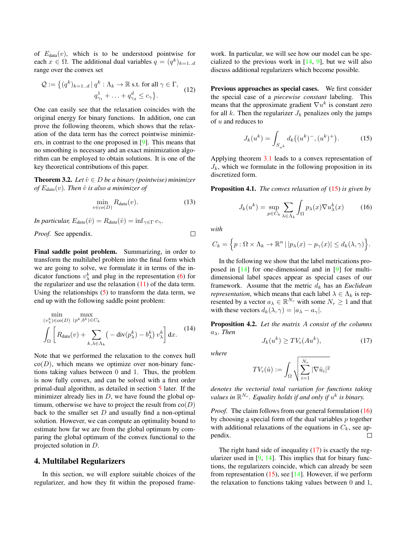<span id="page-3-9"></span>of  $E_{data}(v)$ , which is to be understood pointwise for each  $x \in \Omega$ . The additional dual variables  $q = (q^k)_{k=1...d}$ range over the convex set

<span id="page-3-5"></span>
$$
\mathcal{Q} := \left\{ (q^k)_{k=1..d} \mid q^k : \Lambda_k \to \mathbb{R} \text{ s.t. for all } \gamma \in \Gamma, \right\}
$$
  

$$
q_{\gamma_1}^1 + \ldots + q_{\gamma_d}^d \le c_{\gamma} \right\}.
$$
 (12)

One can easily see that the relaxation coincides with the original energy for binary functions. In addition, one can prove the following theorem, which shows that the relaxation of the data term has the correct pointwise minimizers, in contrast to the one proposed in [\[9\]](#page-7-0). This means that no smoothing is necessary and an exact minimization algorithm can be employed to obtain solutions. It is one of the key theoretical contributions of this paper.

<span id="page-3-6"></span>**Theorem 3.2.** *Let*  $\hat{v} \in D$  *be a binary (pointwise) minimizer of*  $E_{data}(v)$ *. Then*  $\hat{v}$  *is also a minimizer of* 

$$
\min_{v \in co(D)} R_{data}(v). \tag{13}
$$

*In particular,*  $E_{data}(\hat{v}) = R_{data}(\hat{v}) = \inf_{\gamma \in \Gamma} c_{\gamma}$ .

*Proof.* See appendix.

Final saddle point problem. Summarizing, in order to transform the multilabel problem into the final form which we are going to solve, we formulate it in terms of the indicator functions  $v_{\lambda}^{k}$  and plug in the representation [\(6\)](#page-2-4) for the regularizer and use the relaxation  $(11)$  of the data term. Using the relationships  $(5)$  to transform the data term, we end up with the following saddle point problem:

<span id="page-3-4"></span>
$$
\min_{(v_{\lambda}^{k}) \in \mathcal{O}(D)} \max_{(p^{k},b^{k}) \in C_{k}} \left[ R_{data}(v) + \sum_{k,\lambda \in \Lambda_{k}} \left( -\operatorname{div}(p_{\lambda}^{k}) - b_{\lambda}^{k} \right) v_{\lambda}^{k} \right] dx.
$$
 (14)

Note that we performed the relaxation to the convex hull  $co(D)$ , which means we optimize over non-binary functions taking values between 0 and 1. Thus, the problem is now fully convex, and can be solved with a first order primal-dual algorithm, as detailed in section [5](#page-5-0) later. If the minimizer already lies in  $D$ , we have found the global optimum, otherwise we have to project the result from  $co(D)$ back to the smaller set  $D$  and usually find a non-optimal solution. However, we can compute an optimality bound to estimate how far we are from the global optimum by comparing the global optimum of the convex functional to the projected solution in D.

#### <span id="page-3-0"></span>4. Multilabel Regularizers

In this section, we will explore suitable choices of the regularizer, and how they fit within the proposed framework. In particular, we will see how our model can be specialized to the previous work in  $[14, 9]$  $[14, 9]$  $[14, 9]$ , but we will also discuss additional regularizers which become possible.

Previous approaches as special cases. We first consider the special case of a *piecewise constant* labeling. This means that the approximate gradient  $\nabla u^k$  is constant zero for all k. Then the regularizer  $J_k$  penalizes only the jumps of  $u$  and reduces to

<span id="page-3-1"></span>
$$
J_k(u^k) = \int_{S_{u^k}} d_k((u^k)^{-}, (u^k)^+). \tag{15}
$$

Applying theorem [3.1](#page-2-6) leads to a convex representation of  $J_k$ , which we formulate in the following proposition in its discretized form.

<span id="page-3-7"></span>Proposition 4.1. *The convex relaxation of* [\(15\)](#page-3-1) *is given by*

<span id="page-3-2"></span>
$$
J_k(u^k) = \sup_{p \in C_k} \sum_{\lambda \in \Lambda_k} \int_{\Omega} p_{\lambda}(x) \nabla u_{\lambda}^k(x) \tag{16}
$$

*with*

 $\Box$ 

$$
C_k = \left\{ p : \Omega \times \Lambda_k \to \mathbb{R}^n \, | \, |p_\lambda(x) - p_\gamma(x)| \leq d_k(\lambda, \gamma) \right\}.
$$

In the following we show that the label metrications proposed in [\[14\]](#page-7-5) for one-dimensional and in [\[9\]](#page-7-0) for multidimensional label spaces appear as special cases of our framework. Assume that the metric  $d_k$  has an *Euclidean representation*, which means that each label  $\lambda \in \Lambda_k$  is represented by a vector  $a_{\lambda} \in \mathbb{R}^{N_r}$  with some  $N_r \ge 1$  and that with these vectors  $d_k(\lambda, \gamma) = |a_{\lambda} - a_{\gamma}|.$ 

<span id="page-3-8"></span>Proposition 4.2. *Let the matrix* A *consist of the columns* aλ*. Then*

<span id="page-3-3"></span>
$$
J_k(u^k) \geq TV_v(Au^k),\tag{17}
$$

*where*

$$
TV_{\nu}(\hat{u}) := \int_{\Omega} \sqrt{\sum_{i=1}^{N_r} |\nabla \hat{u}_i|^2}
$$

*denotes the vectorial total variation for functions taking* values in  $\mathbb{R}^{N_r}$ . Equality holds if and only if  $u^k$  is binary.

*Proof.* The claim follows from our general formulation [\(16\)](#page-3-2) by choosing a special form of the dual variables  $p$  together with additional relaxations of the equations in  $C_k$ , see appendix.  $\Box$ 

The right hand side of inequality  $(17)$  is exactly the regularizer used in  $[9, 14]$  $[9, 14]$  $[9, 14]$ . This implies that for binary functions, the regularizers coincide, which can already be seen from representation  $(15)$ , see [\[14\]](#page-7-5). However, if we perform the relaxation to functions taking values between 0 and 1,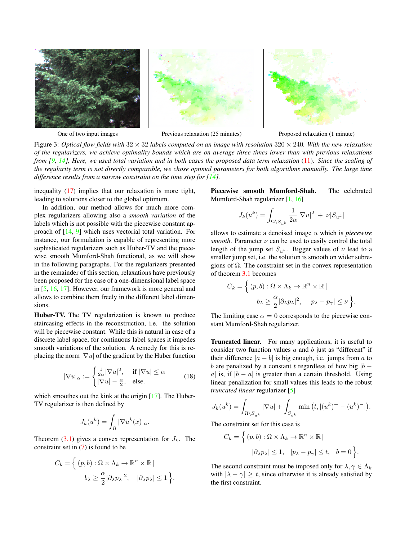<span id="page-4-1"></span><span id="page-4-0"></span>

One of two input images Previous relaxation (25 minutes) Proposed relaxation (1 minute)

Figure 3: *Optical flow fields with* 32 × 32 *labels computed on an image with resolution* 320 × 240*. With the new relaxation of the regularizers, we achieve optimality bounds which are on average three times lower than with previous relaxations from [\[9,](#page-7-0) [14\]](#page-7-5), Here, we used total variation and in both cases the proposed data term relaxation* [\(11\)](#page-2-5)*. Since the scaling of the regularity term is not directly comparable, we chose optimal parameters for both algorithms manually. The large time difference results from a narrow constraint on the time step for [\[14\]](#page-7-5).* 

inequality [\(17\)](#page-3-3) implies that our relaxation is more tight, leading to solutions closer to the global optimum.

In addition, our method allows for much more complex regularizers allowing also a *smooth variation* of the labels which is not possible with the piecewise constant approach of [\[14,](#page-7-5) [9\]](#page-7-0) which uses vectorial total variation. For instance, our formulation is capable of representing more sophisticated regularizers such as Huber-TV and the piecewise smooth Mumford-Shah functional, as we will show in the following paragraphs. For the regularizers presented in the remainder of this section, relaxations have previously been proposed for the case of a one-dimensional label space in [\[5,](#page-7-1) [16,](#page-7-16) [17\]](#page-7-3). However, our framework is more general and allows to combine them freely in the different label dimensions.

Huber-TV. The TV regularization is known to produce staircasing effects in the reconstruction, i.e. the solution will be piecewise constant. While this is natural in case of a discrete label space, for continuous label spaces it impedes smooth variations of the solution. A remedy for this is replacing the norm  $|\nabla u|$  of the gradient by the Huber function

$$
|\nabla u|_{\alpha} := \begin{cases} \frac{1}{2\alpha} |\nabla u|^2, & \text{if } |\nabla u| \le \alpha \\ |\nabla u| - \frac{\alpha}{2}, & \text{else.} \end{cases}
$$
(18)

which smoothes out the kink at the origin [\[17\]](#page-7-3). The Huber-TV regularizer is then defined by

$$
J_k(u^k) = \int_{\Omega} |\nabla u^k(x)|_{\alpha}.
$$

Theorem  $(3.1)$  gives a convex representation for  $J_k$ . The constraint set in [\(7\)](#page-2-2) is found to be

$$
C_k = \left\{ (p, b) : \Omega \times \Lambda_k \to \mathbb{R}^n \times \mathbb{R} \mid b_{\lambda} \ge \frac{\alpha}{2} |\partial_{\lambda} p_{\lambda}|^2, \quad |\partial_{\lambda} p_{\lambda}| \le 1 \right\}.
$$

Piecewise smooth Mumford-Shah. The celebrated Mumford-Shah regularizer [\[1,](#page-7-15) [16\]](#page-7-16)

$$
J_k(u^k) = \int_{\Omega \backslash S_{u^k}} \frac{1}{2\alpha} |\nabla u|^2 + \nu |S_{u^k}|
$$

allows to estimate a denoised image u which is *piecewise smooth*. Parameter  $\nu$  can be used to easily control the total length of the jump set  $S_{u^k}$ . Bigger values of  $\nu$  lead to a smaller jump set, i.e. the solution is smooth on wider subregions of  $\Omega$ . The constraint set in the convex representation of theorem [3.1](#page-2-6) becomes

$$
C_k = \left\{ (p, b) : \Omega \times \Lambda_k \to \mathbb{R}^n \times \mathbb{R} \mid b_{\lambda} \ge \frac{\alpha}{2} |\partial_{\lambda} p_{\lambda}|^2, \quad |p_{\lambda} - p_{\gamma}| \le \nu \right\}.
$$

The limiting case  $\alpha = 0$  corresponds to the piecewise constant Mumford-Shah regularizer.

Truncated linear. For many applications, it is useful to consider two function values  $a$  and  $b$  just as "different" if their difference  $|a - b|$  is big enough, i.e. jumps from a to b are penalized by a constant t regardless of how big  $|b$ a| is, if  $|b - a|$  is greater than a certain threshold. Using linear penalization for small values this leads to the robust *truncated linear* regularizer [\[5\]](#page-7-1)

$$
J_k(u^k) = \int_{\Omega \setminus S_{u^k}} |\nabla u| + \int_{S_{u^k}} \min (t, |(u^k)^+ - (u^k)^-|).
$$

The constraint set for this case is

$$
C_k = \left\{ (p, b) : \Omega \times \Lambda_k \to \mathbb{R}^n \times \mathbb{R} \mid
$$
  

$$
|\partial_{\lambda} p_{\lambda}| \le 1, \quad |p_{\lambda} - p_{\gamma}| \le t, \quad b = 0 \right\}.
$$

The second constraint must be imposed only for  $\lambda, \gamma \in \Lambda_k$ with  $|\lambda - \gamma| \geq t$ , since otherwise it is already satisfied by the first constraint.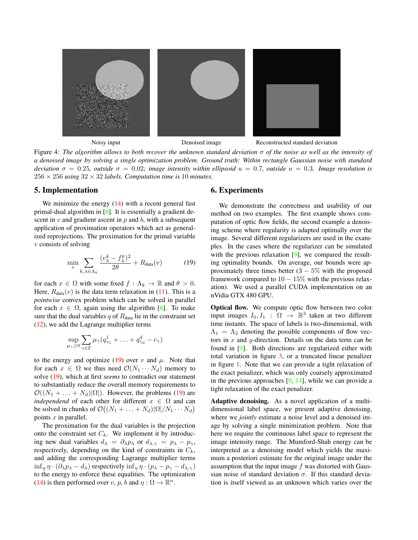<span id="page-5-3"></span><span id="page-5-2"></span>

Figure 4: *The algorithm allows to both recover the unknown standard deviation* σ *of the noise as well as the intensity of a denoised image by solving a single optimization problem. Ground truth: Within rectangle Gaussian noise with standard deviation*  $\sigma = 0.25$ *, outside*  $\sigma = 0.02$ *; image intensity within ellipsoid*  $u = 0.7$ *, outside*  $u = 0.3$ *. Image resolution is*  $256 \times 256$  *using*  $32 \times 32$  *labels. Computation time is* 10 *minutes.* 

#### <span id="page-5-0"></span>5. Implementation

We minimize the energy  $(14)$  with a recent general fast primal-dual algorithm in [\[6\]](#page-7-17). It is essentially a gradient descent in  $v$  and gradient ascent in  $p$  and  $b$ , with a subsequent application of proximation operators which act as generalized reprojections. The proximation for the primal variable  $v$  consists of solving

$$
\min_{v} \sum_{k,\lambda \in \Lambda_k} \frac{(v_{\lambda}^k - f_{\lambda}^k)^2}{2\theta} + R_{\text{data}}(v) \tag{19}
$$

for each  $x \in \Omega$  with some fixed  $f : \Lambda_k \to \mathbb{R}$  and  $\theta > 0$ . Here,  $R_{data}(v)$  is the data term relaxation in [\(11\)](#page-2-5). This is a *pointwise* convex problem which can be solved in parallel for each  $x \in \Omega$ , again using the algorithm [\[6\]](#page-7-17). To make sure that the dual variables  $q$  of  $R_{data}$  lie in the constraint set [\(12\)](#page-3-5), we add the Lagrange multiplier terms

$$
\sup_{\mu_{\gamma}\geq 0}\sum_{\gamma\in\Gamma}\mu_{\gamma}(q_{\gamma_{1}}^{1}+\ldots+q_{\gamma_{d}}^{d}-c_{\gamma})
$$

to the energy and optimize [\(19\)](#page-5-1) over v and  $\mu$ . Note that for each  $x \in \Omega$  we thus need  $\mathcal{O}(N_1 \cdots N_d)$  memory to solve [\(19\)](#page-5-1), which at first *seems* to contradict our statement to substantially reduce the overall memory requirements to  $\mathcal{O}((N_1 + \ldots + N_d)|\Omega|)$ . However, the problems [\(19\)](#page-5-1) are *independend* of each other for different  $x \in \Omega$  and can be solved in chunks of  $\mathcal{O}((N_1 + \ldots + N_d)|\Omega|/N_1 \cdots N_d)$ points  $x$  in parallel.

The proximation for the dual variables is the projection onto the constraint set  $C_k$ . We implement it by introducing new dual variables  $d_{\lambda} = \partial_{\lambda} p_{\lambda}$  or  $d_{\lambda, \gamma} = p_{\lambda} - p_{\gamma}$ , respectively, depending on the kind of constraints in  $C_k$ , and adding the corresponding Lagrange multiplier terms  $\inf_n \eta \cdot (\partial_\lambda p_\lambda - d_\lambda)$  respectively  $\inf_n \eta \cdot (p_\lambda - p_\gamma - d_{\lambda,\gamma})$ to the energy to enforce these equalities. The optimization [\(14\)](#page-3-4) is then performed over  $v, p, b$  and  $\eta : \Omega \to \mathbb{R}^n$ .

#### 6. Experiments

We demonstrate the correctness and usability of our method on two examples. The first example shows computation of optic flow fields, the second example a denoising scheme where regularity is adapted optimally over the image. Several different regularizers are used in the examples. In the cases where the regularizer can be simulated with the previous relaxation [\[9\]](#page-7-0), we compared the resulting optimality bounds. On average, our bounds were approximately three times better  $(3 - 5\%$  with the proposed framework compared to  $10 - 15\%$  with the previous relaxation). We used a parallel CUDA implementation on an nVidia GTX 480 GPU.

<span id="page-5-1"></span>Optical flow. We compute optic flow between two color input images  $I_0, I_1 : \Omega \rightarrow \mathbb{R}^3$  taken at two different time instants. The space of labels is two-dimensional, with  $\Lambda_1 = \Lambda_2$  denoting the possible components of flow vectors in  $x$  and  $y$ -direction. Details on the data term can be found in [\[9\]](#page-7-0). Both directions are regularized either with total variation in figure [3,](#page-4-0) or a truncated linear penalizer in figure [1.](#page-0-1) Note that we can provide a tight relaxation of the exact penalizer, which was only coarsely approximated in the previous approaches  $[9, 14]$  $[9, 14]$  $[9, 14]$ , while we can provide a tight relaxation of the exact penalizer.

Adaptive denoising. As a novel application of a multidimensional label space, we present adaptive denoising, where we *jointly* estimate a noise level and a denoised image by solving a single minimization problem. Note that here we require the continuous label space to represent the image intensity range. The Mumford-Shah energy can be interpreted as a denoising model which yields the maximum a posteriori estimate for the original image under the assumption that the input image f was distorted with Gaussian noise of standard deviation  $\sigma$ . If this standard deviation is itself viewed as an unknown which varies over the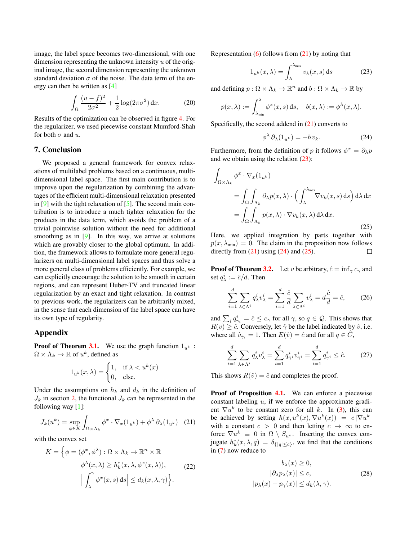<span id="page-6-5"></span>image, the label space becomes two-dimensional, with one dimension representing the unknown intensity  $u$  of the original image, the second dimension representing the unknown standard deviation  $\sigma$  of the noise. The data term of the energy can then be written as [\[4\]](#page-7-18)

$$
\int_{\Omega} \frac{(u-f)^2}{2\sigma^2} + \frac{1}{2} \log(2\pi\sigma^2) \, dx.
$$
 (20)

Results of the optimization can be observed in figure [4.](#page-5-2) For the regularizer, we used piecewise constant Mumford-Shah for both  $\sigma$  and  $u$ .

## 7. Conclusion

We proposed a general framework for convex relaxations of multilabel problems based on a continuous, multidimensional label space. The first main contribution is to improve upon the regularization by combining the advantages of the efficient multi-dimensional relaxation presented in  $[9]$  with the tight relaxation of  $[5]$ . The second main contribution is to introduce a much tighter relaxation for the products in the data term, which avoids the problem of a trivial pointwise solution without the need for additional smoothing as in  $[9]$ . In this way, we arrive at solutions which are provably closer to the global optimum. In addition, the framework allows to formulate more general regularizers on multi-dimensional label spaces and thus solve a more general class of problems efficiently. For example, we can explicitly encourage the solution to be smooth in certain regions, and can represent Huber-TV and truncated linear regularization by an exact and tight relaxation. In contrast to previous work, the regularizers can be arbitrarily mixed, in the sense that each dimension of the label space can have its own type of regularity.

## Appendix

**Proof of Theorem [3.1.](#page-2-6)** We use the graph function  $1_{u^k}$ :  $\Omega \times \Lambda_k \to \mathbb{R}$  of  $u^k$ , defined as

$$
1_{u^k}(x,\lambda) = \begin{cases} 1, & \text{if } \lambda < u^k(x) \\ 0, & \text{else.} \end{cases}
$$

Under the assumptions on  $h_k$  and  $d_k$  in the definition of  $J_k$  in section [2,](#page-1-2) the functional  $J_k$  can be represented in the following way [\[1\]](#page-7-15):

<span id="page-6-0"></span>
$$
J_k(u^k) = \sup_{\phi \in K} \int_{\Omega \times \Lambda_k} \phi^x \cdot \nabla_x (1_{u^k}) + \phi^\lambda \partial_\lambda (1_{u^k}) \quad (21)
$$

with the convex set

$$
K = \left\{ \phi = (\phi^x, \phi^\lambda) : \Omega \times \Lambda_k \to \mathbb{R}^n \times \mathbb{R} \mid
$$
  

$$
\phi^\lambda(x, \lambda) \ge h_k^*(x, \lambda, \phi^x(x, \lambda)),
$$
  

$$
\left| \int_{\lambda}^{\gamma} \phi^x(x, s) ds \right| \le d_k(x, \lambda, \gamma) \right\}.
$$
 (22)

Representation  $(6)$  follows from  $(21)$  by noting that

<span id="page-6-1"></span>
$$
1_{u^k}(x,\lambda) = \int_{\lambda}^{\lambda_{\max}} v_k(x,s) \, ds \tag{23}
$$

and defining  $p: \Omega \times \Lambda_k \to \mathbb{R}^n$  and  $b: \Omega \times \Lambda_k \to \mathbb{R}$  by

$$
p(x,\lambda) := \int_{\lambda_{\min}}^{\lambda} \phi^x(x,s) \, ds, \quad b(x,\lambda) := \phi^{\lambda}(x,\lambda).
$$

Specifically, the second addend in  $(21)$  converts to

<span id="page-6-2"></span>
$$
\phi^{\lambda} \, \partial_{\lambda} (1_{u^k}) = -b \, v_k. \tag{24}
$$

Furthermore, from the definition of p it follows  $\phi^x = \partial_\lambda p$ and we obtain using the relation [\(23\)](#page-6-1):

<span id="page-6-3"></span>
$$
\int_{\Omega \times \Lambda_k} \phi^x \cdot \nabla_x (1_{u^k})
$$
\n
$$
= \int_{\Omega} \int_{\Lambda_k} \partial_{\lambda} p(x, \lambda) \cdot \left( \int_{\lambda}^{\lambda_{\text{max}}} \nabla v_k(x, s) \, ds \right) d\lambda \, dx
$$
\n
$$
= \int_{\Omega} \int_{\Lambda_k} p(x, \lambda) \cdot \nabla v_k(x, \lambda) \, d\lambda \, dx.
$$
\n(25)

Here, we applied integration by parts together with  $p(x, \lambda_{\min}) = 0$ . The claim in the proposition now follows directly from  $(21)$  using  $(24)$  and  $(25)$ .  $\Box$ 

**Proof of Theorem [3.2.](#page-3-6)** Let v be arbitrary,  $\hat{c} = \inf_{\gamma} c_{\gamma}$  and set  $q_{\lambda}^i := \hat{c}/d$ . Then

$$
\sum_{i=1}^{d} \sum_{\lambda \in \Lambda^i} q^i_{\lambda} v^i_{\lambda} = \sum_{i=1}^{d} \frac{\hat{c}}{d} \sum_{\lambda \in \Lambda^i} v^i_{\lambda} = d \frac{\hat{c}}{d} = \hat{c}, \qquad (26)
$$

and  $\sum_i q_{\gamma_i}^i = \hat{c} \le c_\gamma$  for all  $\gamma$ , so  $q \in \mathcal{Q}$ . This shows that  $R(v) \geq \hat{c}$ . Conversely, let  $\hat{\gamma}$  be the label indicated by  $\hat{v}$ , i.e. where all  $\hat{v}_{\hat{\gamma}_i} = 1$ . Then  $E(\hat{v}) = \hat{c}$  and for all  $q \in \hat{C}$ ,

$$
\sum_{i=1}^{d} \sum_{\lambda \in \Lambda^i} q_{\lambda}^i v_{\lambda}^i = \sum_{i=1}^{d} q_{\hat{\gamma}^i}^i v_{\hat{\gamma}^i}^i = \sum_{i=1}^{d} q_{\hat{\gamma}^i}^i \leq \hat{c}.
$$
 (27)

This shows  $R(\hat{v}) = \hat{c}$  and completes the proof.

Proof of Proposition [4.1.](#page-3-7) We can enforce a piecewise constant labeling  $u$ , if we enforce the approximate gradient  $\nabla u^k$  to be constant zero for all k. In [\(3\)](#page-1-1), this can be achieved by setting  $h(x, u^k(x), \nabla u^k(x)) = c |\nabla u^k|$ with a constant  $c > 0$  and then letting  $c \to \infty$  to enforce  $\nabla u^k \equiv 0$  in  $\Omega \setminus S_{u^k}$ . Inserting the convex conjugate  $h_k^*(x, \lambda, q) = \delta_{\{|q| \leq c\}}$ , we find that the conditions in [\(7\)](#page-2-2) now reduce to

<span id="page-6-4"></span>
$$
b_{\lambda}(x) \ge 0,
$$
  
\n
$$
|\partial_{\lambda}p_{\lambda}(x)| \le c,
$$
  
\n
$$
|p_{\lambda}(x) - p_{\gamma}(x)| \le d_{k}(\lambda, \gamma).
$$
\n(28)